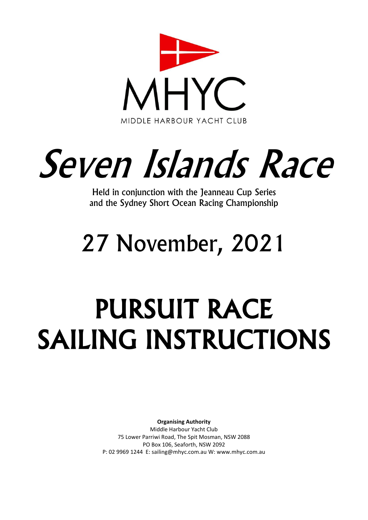

# Seven Islands Race

Held in conjunction with the Jeanneau Cup Series and the Sydney Short Ocean Racing Championship

# 27 November, 2021

# PURSUIT RACE SAILING INSTRUCTIONS

**Organising Authority** Middle Harbour Yacht Club 75 Lower Parriwi Road, The Spit Mosman, NSW 2088 PO Box 106, Seaforth, NSW 2092 P: 02 9969 1244 E: sailing@mhyc.com.au W: www.mhyc.com.au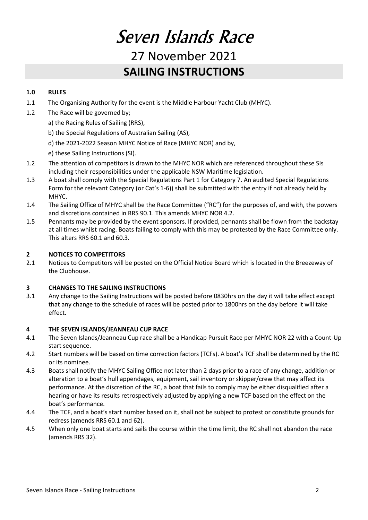# Seven Islands Race 27 November 2021 **SAILING INSTRUCTIONS**

#### **1.0 RULES**

- 1.1 The Organising Authority for the event is the Middle Harbour Yacht Club (MHYC).
- 1.2 The Race will be governed by;
	- a) the Racing Rules of Sailing (RRS),
	- b) the Special Regulations of Australian Sailing (AS),
	- d) the 2021-2022 Season MHYC Notice of Race (MHYC NOR) and by,
	- e) these Sailing Instructions (SI).
- 1.2 The attention of competitors is drawn to the MHYC NOR which are referenced throughout these SIs including their responsibilities under the applicable NSW Maritime legislation.
- 1.3 A boat shall comply with the Special Regulations Part 1 for Category 7. An audited Special Regulations Form for the relevant Category (or Cat's 1-6)) shall be submitted with the entry if not already held by MHYC.
- 1.4 The Sailing Office of MHYC shall be the Race Committee ("RC") for the purposes of, and with, the powers and discretions contained in RRS 90.1. This amends MHYC NOR 4.2.
- 1.5 Pennants may be provided by the event sponsors. If provided, pennants shall be flown from the backstay at all times whilst racing. Boats failing to comply with this may be protested by the Race Committee only. This alters RRS 60.1 and 60.3.

#### **2 NOTICES TO COMPETITORS**

2.1 Notices to Competitors will be posted on the Official Notice Board which is located in the Breezeway of the Clubhouse.

#### **3 CHANGES TO THE SAILING INSTRUCTIONS**

3.1 Any change to the Sailing Instructions will be posted before 0830hrs on the day it will take effect except that any change to the schedule of races will be posted prior to 1800hrs on the day before it will take effect.

#### **4 THE SEVEN ISLANDS/JEANNEAU CUP RACE**

- 4.1 The Seven Islands/Jeanneau Cup race shall be a Handicap Pursuit Race per MHYC NOR 22 with a Count-Up start sequence.
- 4.2 Start numbers will be based on time correction factors (TCFs). A boat's TCF shall be determined by the RC or its nominee.
- 4.3 Boats shall notify the MHYC Sailing Office not later than 2 days prior to a race of any change, addition or alteration to a boat's hull appendages, equipment, sail inventory or skipper/crew that may affect its performance. At the discretion of the RC, a boat that fails to comply may be either disqualified after a hearing or have its results retrospectively adjusted by applying a new TCF based on the effect on the boat's performance.
- 4.4 The TCF, and a boat's start number based on it, shall not be subject to protest or constitute grounds for redress (amends RRS 60.1 and 62).
- 4.5 When only one boat starts and sails the course within the time limit, the RC shall not abandon the race (amends RRS 32).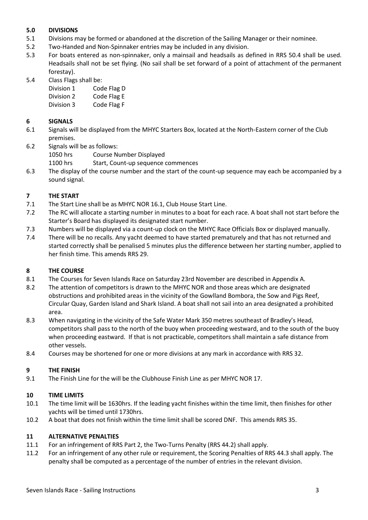#### **5.0 DIVISIONS**

- 5.1 Divisions may be formed or abandoned at the discretion of the Sailing Manager or their nominee.
- 5.2 Two-Handed and Non-Spinnaker entries may be included in any division.
- 5.3 For boats entered as non-spinnaker, only a mainsail and headsails as defined in RRS 50.4 shall be used. Headsails shall not be set flying. (No sail shall be set forward of a point of attachment of the permanent forestay).
- 5.4 Class Flags shall be:

| Division 1 | Code Flag D |
|------------|-------------|
| Division 2 | Code Flag E |

Division 3 Code Flag F

#### **6 SIGNALS**

- 6.1 Signals will be displayed from the MHYC Starters Box, located at the North-Eastern corner of the Club premises.
- 6.2 Signals will be as follows:

1050 hrs Course Number Displayed

- 1100 hrs Start, Count-up sequence commences
- 6.3 The display of the course number and the start of the count-up sequence may each be accompanied by a sound signal.

#### **7 THE START**

- 7.1 The Start Line shall be as MHYC NOR 16.1, Club House Start Line.
- 7.2 The RC will allocate a starting number in minutes to a boat for each race. A boat shall not start before the Starter's Board has displayed its designated start number.
- 7.3 Numbers will be displayed via a count-up clock on the MHYC Race Officials Box or displayed manually.
- 7.4 There will be no recalls. Any yacht deemed to have started prematurely and that has not returned and started correctly shall be penalised 5 minutes plus the difference between her starting number, applied to her finish time. This amends RRS 29.

#### **8 THE COURSE**

- 8.1 The Courses for Seven Islands Race on Saturday 23rd November are described in Appendix A.
- 8.2 The attention of competitors is drawn to the MHYC NOR and those areas which are designated obstructions and prohibited areas in the vicinity of the Gowlland Bombora, the Sow and Pigs Reef, Circular Quay, Garden Island and Shark Island. A boat shall not sail into an area designated a prohibited area.
- 8.3 When navigating in the vicinity of the Safe Water Mark 350 metres southeast of Bradley's Head, competitors shall pass to the north of the buoy when proceeding westward, and to the south of the buoy when proceeding eastward. If that is not practicable, competitors shall maintain a safe distance from other vessels.
- 8.4 Courses may be shortened for one or more divisions at any mark in accordance with RRS 32.

#### **9 THE FINISH**

9.1 The Finish Line for the will be the Clubhouse Finish Line as per MHYC NOR 17.

#### **10 TIME LIMITS**

- 10.1 The time limit will be 1630hrs. If the leading yacht finishes within the time limit, then finishes for other yachts will be timed until 1730hrs.
- 10.2 A boat that does not finish within the time limit shall be scored DNF. This amends RRS 35.

#### **11 ALTERNATIVE PENALTIES**

- 11.1 For an infringement of RRS Part 2, the Two-Turns Penalty (RRS 44.2) shall apply.
- 11.2 For an infringement of any other rule or requirement, the Scoring Penalties of RRS 44.3 shall apply. The penalty shall be computed as a percentage of the number of entries in the relevant division.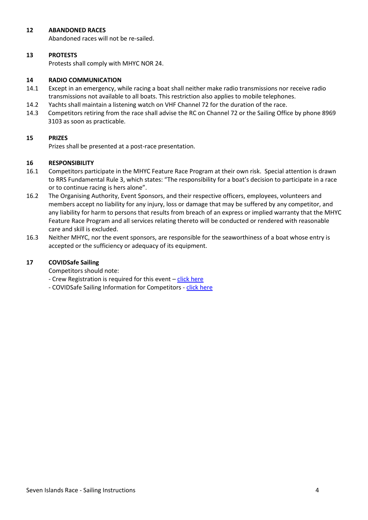#### **12 ABANDONED RACES**

Abandoned races will not be re-sailed.

#### **13 PROTESTS**

Protests shall comply with MHYC NOR 24.

#### **14 RADIO COMMUNICATION**

- 14.1 Except in an emergency, while racing a boat shall neither make radio transmissions nor receive radio transmissions not available to all boats. This restriction also applies to mobile telephones.
- 14.2 Yachts shall maintain a listening watch on VHF Channel 72 for the duration of the race.
- 14.3 Competitors retiring from the race shall advise the RC on Channel 72 or the Sailing Office by phone 8969 3103 as soon as practicable.

#### **15 PRIZES**

Prizes shall be presented at a post-race presentation.

#### **16 RESPONSIBILITY**

- 16.1 Competitors participate in the MHYC Feature Race Program at their own risk. Special attention is drawn to RRS Fundamental Rule 3, which states: "The responsibility for a boat's decision to participate in a race or to continue racing is hers alone".
- 16.2 The Organising Authority, Event Sponsors, and their respective officers, employees, volunteers and members accept no liability for any injury, loss or damage that may be suffered by any competitor, and any liability for harm to persons that results from breach of an express or implied warranty that the MHYC Feature Race Program and all services relating thereto will be conducted or rendered with reasonable care and skill is excluded.
- 16.3 Neither MHYC, nor the event sponsors, are responsible for the seaworthiness of a boat whose entry is accepted or the sufficiency or adequacy of its equipment.

#### **17 COVIDSafe Sailing**

Competitors should note:

- Crew Registration is required for this event [click here](https://www.mhyc.com.au/sailing/keelboat-division/covidsafe-crew-registration)
- COVIDSafe Sailing Information for Competitors [click here](https://www.mhyc.com.au/sailing/keelboat-division/keelboat-noticeboard)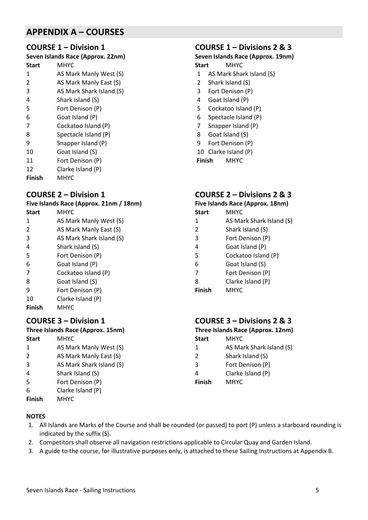## **APPENDIX A – COURSES**

#### **COURSE 1 – Division 1**

**Seven Islands Race (Approx. 22nm) Start** MHYC

- AS Mark Manly West (S)
- 2 AS Mark Manly East (S)<br>3 AS Mark Shark Island (S
- AS Mark Shark Island (S)
- Shark Island (S) Fort Denison (P)
- Goat Island (P)
- Cockatoo Island (P)
- Spectacle Island (P)
- Snapper Island (P)
- Goat Island (S)
- Fort Denison (P)
- Clarke Island (P)
- **Finish** MHYC

#### **COURSE 2 – Division 1**

**Five Islands Race (Approx. 21nm / 18nm)**

- **Start** MHYC
- AS Mark Manly West (S) AS Mark Manly East (S)
- AS Mark Shark Island (S)
- Shark Island (S)
- Fort Denison (P)
- Goat Island (P)
- Cockatoo Island (P)
- Goat Island (S)
- Fort Denison (P)
- Clarke Island (P)
- **Finish** MHYC

#### **COURSE 3 – Division 1**

#### **Three Islands Race (Approx. 15nm)**

- **Start** MHYC AS Mark Manly West (S) AS Mark Manly East (S) AS Mark Shark Island (S) Shark Island (S)
- Fort Denison (P)
- Clarke Island (P)
- **Finish** MHYC

## **COURSE 1 – Divisions 2 & 3**

# **Seven Islands Race (Approx. 19nm)**

- **Start** MHYC
- AS Mark Shark Island (S)
- Shark Island (S)
- Fort Denison (P)
- Goat Island (P)
- Cockatoo Island (P)
- Spectacle Island (P)
- Snapper Island (P)
- Goat Island (S)
- Fort Denison (P)
- Clarke Island (P)

**Finish** MHYC

#### **COURSE 2 – Divisions 2 & 3**

#### **Five Islands Race (Approx. 18nm)**

- **Start** MHYC
- AS Mark Shark Island (S)
- Shark Island (S)
- Fort Denison (P)
- Goat Island (P)
- Cockatoo Island (P)
- Goat Island (S)
- Fort Denison (P)
- Clarke Island (P)
- **Finish** MHYC

## **COURSE 3 – Divisions 2 & 3**

**Three Islands Race (Approx. 12nm)**

**Start** MHYC AS Mark Shark Island (S) Shark Island (S) Fort Denison (P) Clarke Island (P) **Finish** MHYC

#### **NOTES**

- 1. All Islands are Marks of the Course and shall be rounded (or passed) to port (P) unless a starboard rounding is indicated by the suffix (S).
- 2. Competitors shall observe all navigation restrictions applicable to Circular Quay and Garden Island.
- 3. A guide to the course, for illustrative purposes only, is attached to these Sailing Instructions at Appendix B.